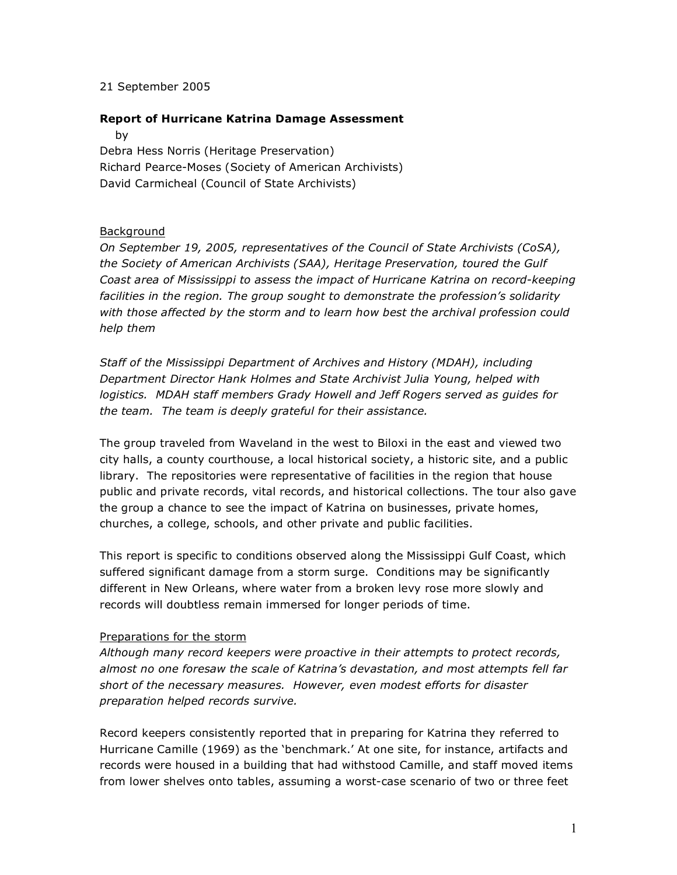#### 21 September 2005

### **Report of Hurricane Katrina Damage Assessment**

by

Debra Hess Norris (Heritage Preservation) Richard Pearce-Moses (Society of American Archivists) David Carmicheal (Council of State Archivists)

### **Background**

*On September 19, 2005, representatives of the Council of State Archivists (CoSA), the Society of American Archivists (SAA), Heritage Preservation, toured the Gulf Coast area of Mississippi to assess the impact of Hurricane Katrina on record-keeping facilities in the region. The group sought to demonstrate the profession's solidarity with those affected by the storm and to learn how best the archival profession could help them*

*Staff of the Mississippi Department of Archives and History (MDAH), including Department Director Hank Holmes and State Archivist Julia Young, helped with logistics. MDAH staff members Grady Howell and Jeff Rogers served as guides for the team. The team is deeply grateful for their assistance.*

The group traveled from Waveland in the west to Biloxi in the east and viewed two city halls, a county courthouse, a local historical society, a historic site, and a public library. The repositories were representative of facilities in the region that house public and private records, vital records, and historical collections. The tour also gave the group a chance to see the impact of Katrina on businesses, private homes, churches, a college, schools, and other private and public facilities.

This report is specific to conditions observed along the Mississippi Gulf Coast, which suffered significant damage from a storm surge. Conditions may be significantly different in New Orleans, where water from a broken levy rose more slowly and records will doubtless remain immersed for longer periods of time.

## Preparations for the storm

*Although many record keepers were proactive in their attempts to protect records, almost no one foresaw the scale of Katrina's devastation, and most attempts fell far short of the necessary measures. However, even modest efforts for disaster preparation helped records survive.*

Record keepers consistently reported that in preparing for Katrina they referred to Hurricane Camille (1969) as the 'benchmark.' At one site, for instance, artifacts and records were housed in a building that had withstood Camille, and staff moved items from lower shelves onto tables, assuming a worst-case scenario of two or three feet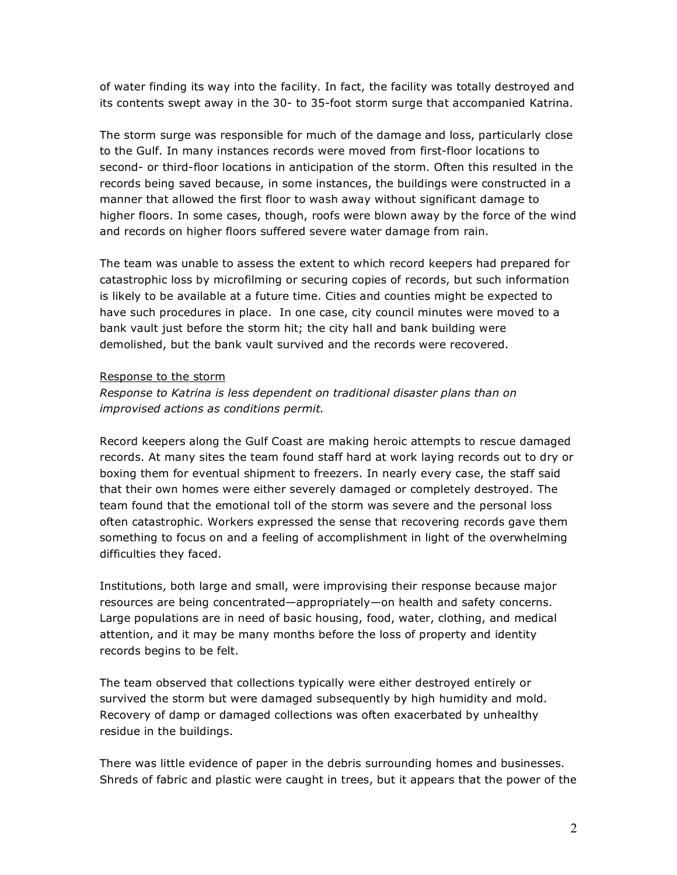of water finding its way into the facility. In fact, the facility was totally destroyed and its contents swept away in the 30- to 35-foot storm surge that accompanied Katrina.

The storm surge was responsible for much of the damage and loss, particularly close to the Gulf. In many instances records were moved from first-floor locations to second- or third-floor locations in anticipation of the storm. Often this resulted in the records being saved because, in some instances, the buildings were constructed in a manner that allowed the first floor to wash away without significant damage to higher floors. In some cases, though, roofs were blown away by the force of the wind and records on higher floors suffered severe water damage from rain.

The team was unable to assess the extent to which record keepers had prepared for catastrophic loss by microfilming or securing copies of records, but such information is likely to be available at a future time. Cities and counties might be expected to have such procedures in place. In one case, city council minutes were moved to a bank vault just before the storm hit; the city hall and bank building were demolished, but the bank vault survived and the records were recovered.

### Response to the storm

# *Response to Katrina is less dependent on traditional disaster plans than on improvised actions as conditions permit.*

Record keepers along the Gulf Coast are making heroic attempts to rescue damaged records. At many sites the team found staff hard at work laying records out to dry or boxing them for eventual shipment to freezers. In nearly every case, the staff said that their own homes were either severely damaged or completely destroyed. The team found that the emotional toll of the storm was severe and the personal loss often catastrophic. Workers expressed the sense that recovering records gave them something to focus on and a feeling of accomplishment in light of the overwhelming difficulties they faced.

Institutions, both large and small, were improvising their response because major resources are being concentrated—appropriately—on health and safety concerns. Large populations are in need of basic housing, food, water, clothing, and medical attention, and it may be many months before the loss of property and identity records begins to be felt.

The team observed that collections typically were either destroyed entirely or survived the storm but were damaged subsequently by high humidity and mold. Recovery of damp or damaged collections was often exacerbated by unhealthy residue in the buildings.

There was little evidence of paper in the debris surrounding homes and businesses. Shreds of fabric and plastic were caught in trees, but it appears that the power of the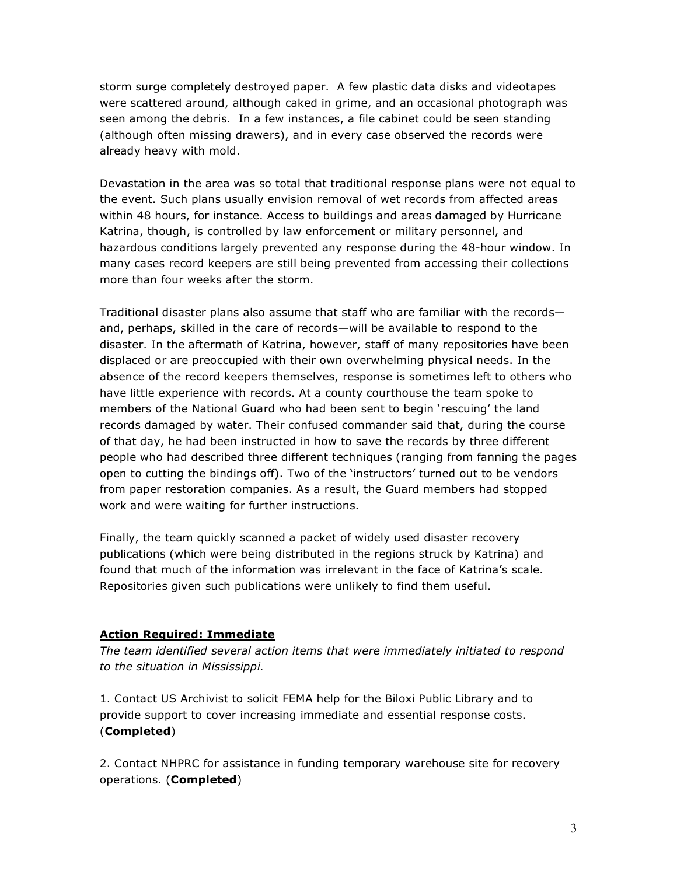storm surge completely destroyed paper. A few plastic data disks and videotapes were scattered around, although caked in grime, and an occasional photograph was seen among the debris. In a few instances, a file cabinet could be seen standing (although often missing drawers), and in every case observed the records were already heavy with mold.

Devastation in the area was so total that traditional response plans were not equal to the event. Such plans usually envision removal of wet records from affected areas within 48 hours, for instance. Access to buildings and areas damaged by Hurricane Katrina, though, is controlled by law enforcement or military personnel, and hazardous conditions largely prevented any response during the 48-hour window. In many cases record keepers are still being prevented from accessing their collections more than four weeks after the storm.

Traditional disaster plans also assume that staff who are familiar with the records and, perhaps, skilled in the care of records—will be available to respond to the disaster. In the aftermath of Katrina, however, staff of many repositories have been displaced or are preoccupied with their own overwhelming physical needs. In the absence of the record keepers themselves, response is sometimes left to others who have little experience with records. At a county courthouse the team spoke to members of the National Guard who had been sent to begin 'rescuing' the land records damaged by water. Their confused commander said that, during the course of that day, he had been instructed in how to save the records by three different people who had described three different techniques (ranging from fanning the pages open to cutting the bindings off). Two of the 'instructors' turned out to be vendors from paper restoration companies. As a result, the Guard members had stopped work and were waiting for further instructions.

Finally, the team quickly scanned a packet of widely used disaster recovery publications (which were being distributed in the regions struck by Katrina) and found that much of the information was irrelevant in the face of Katrina's scale. Repositories given such publications were unlikely to find them useful.

## **Action Required: Immediate**

*The team identified several action items that were immediately initiated to respond to the situation in Mississippi.*

1. Contact US Archivist to solicit FEMA help for the Biloxi Public Library and to provide support to cover increasing immediate and essential response costs. (**Completed**)

2. Contact NHPRC for assistance in funding temporary warehouse site for recovery operations. (**Completed**)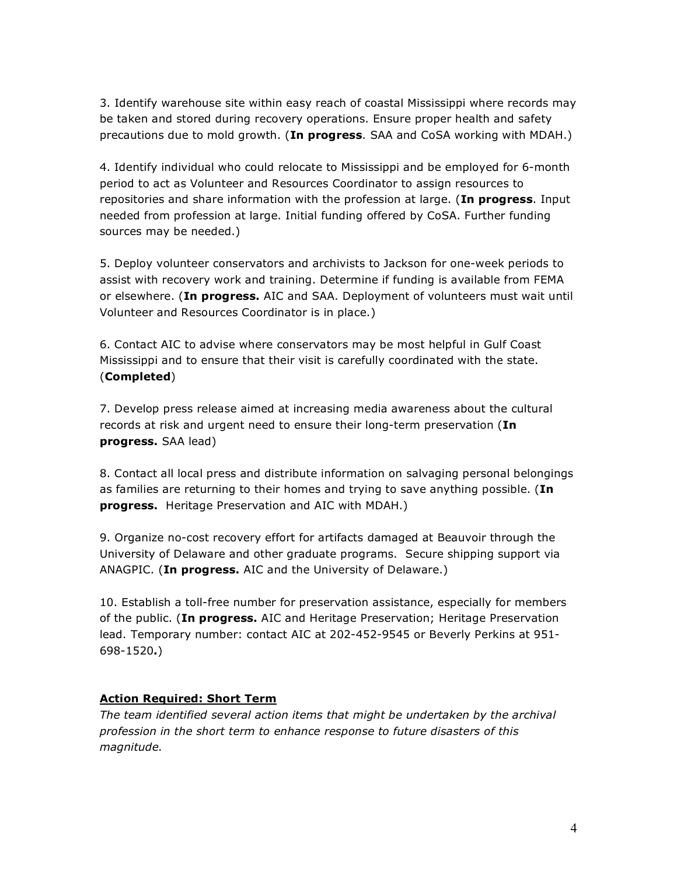3. Identify warehouse site within easy reach of coastal Mississippi where records may be taken and stored during recovery operations. Ensure proper health and safety precautions due to mold growth. (**In progress**. SAA and CoSA working with MDAH.)

4. Identify individual who could relocate to Mississippi and be employed for 6-month period to act as Volunteer and Resources Coordinator to assign resources to repositories and share information with the profession at large. (**In progress**. Input needed from profession at large. Initial funding offered by CoSA. Further funding sources may be needed.)

5. Deploy volunteer conservators and archivists to Jackson for one-week periods to assist with recovery work and training. Determine if funding is available from FEMA or elsewhere. (**In progress.** AIC and SAA. Deployment of volunteers must wait until Volunteer and Resources Coordinator is in place.)

6. Contact AIC to advise where conservators may be most helpful in Gulf Coast Mississippi and to ensure that their visit is carefully coordinated with the state. (**Completed**)

7. Develop press release aimed at increasing media awareness about the cultural records at risk and urgent need to ensure their long-term preservation (**In progress.** SAA lead)

8. Contact all local press and distribute information on salvaging personal belongings as families are returning to their homes and trying to save anything possible. (**In progress.** Heritage Preservation and AIC with MDAH.)

9. Organize no-cost recovery effort for artifacts damaged at Beauvoir through the University of Delaware and other graduate programs. Secure shipping support via ANAGPIC. (**In progress.** AIC and the University of Delaware.)

10. Establish a toll-free number for preservation assistance, especially for members of the public. (**In progress.** AIC and Heritage Preservation; Heritage Preservation lead. Temporary number: contact AIC at 202-452-9545 or Beverly Perkins at 951- 698-1520**.**)

## **Action Required: Short Term**

*The team identified several action items that might be undertaken by the archival profession in the short term to enhance response to future disasters of this magnitude.*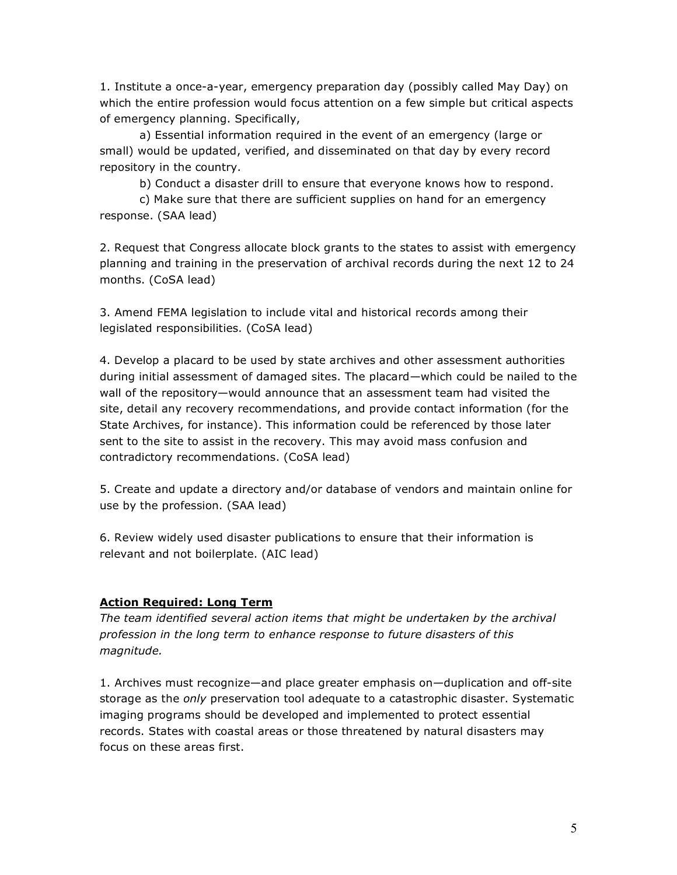1. Institute a once-a-year, emergency preparation day (possibly called May Day) on which the entire profession would focus attention on a few simple but critical aspects of emergency planning. Specifically,

a) Essential information required in the event of an emergency (large or small) would be updated, verified, and disseminated on that day by every record repository in the country.

b) Conduct a disaster drill to ensure that everyone knows how to respond.

c) Make sure that there are sufficient supplies on hand for an emergency response. (SAA lead)

2. Request that Congress allocate block grants to the states to assist with emergency planning and training in the preservation of archival records during the next 12 to 24 months. (CoSA lead)

3. Amend FEMA legislation to include vital and historical records among their legislated responsibilities. (CoSA lead)

4. Develop a placard to be used by state archives and other assessment authorities during initial assessment of damaged sites. The placard—which could be nailed to the wall of the repository—would announce that an assessment team had visited the site, detail any recovery recommendations, and provide contact information (for the State Archives, for instance). This information could be referenced by those later sent to the site to assist in the recovery. This may avoid mass confusion and contradictory recommendations. (CoSA lead)

5. Create and update a directory and/or database of vendors and maintain online for use by the profession. (SAA lead)

6. Review widely used disaster publications to ensure that their information is relevant and not boilerplate. (AIC lead)

## **Action Required: Long Term**

*The team identified several action items that might be undertaken by the archival profession in the long term to enhance response to future disasters of this magnitude.*

1. Archives must recognize—and place greater emphasis on—duplication and off-site storage as the *only* preservation tool adequate to a catastrophic disaster. Systematic imaging programs should be developed and implemented to protect essential records. States with coastal areas or those threatened by natural disasters may focus on these areas first.